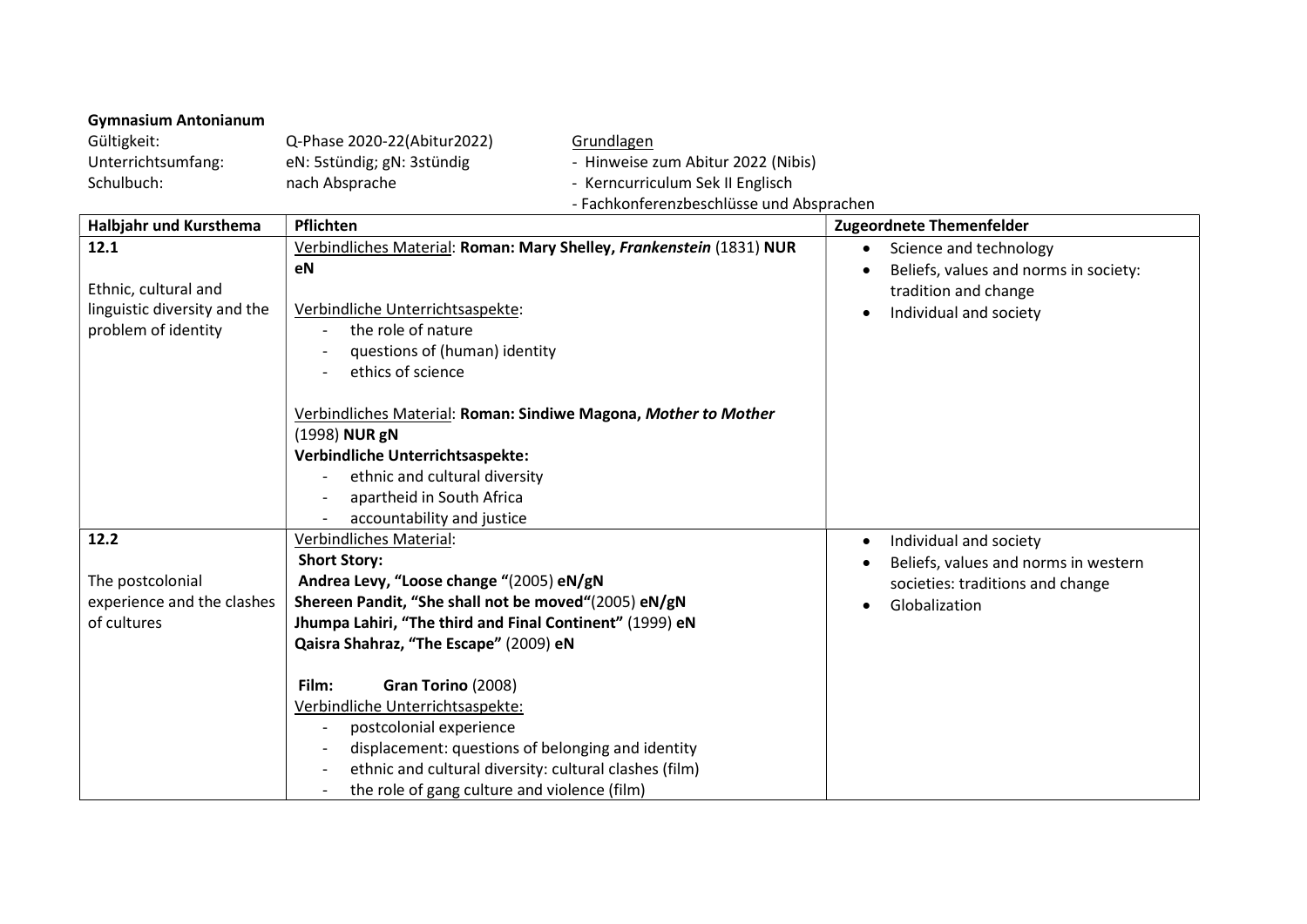## Gymnasium Antonianum

| Gültigkeit:        | Q-Phase 2020-22(Abitur2022) | Grundlagen                             |
|--------------------|-----------------------------|----------------------------------------|
| Unterrichtsumfang: | eN: 5stündig; gN: 3stündig  | - Hinweise zum Abitur 2022 (Nibis)     |
| Schulbuch:         | nach Absprache              | - Kerncurriculum Sek II Englisch       |
|                    |                             | Eachkonforonzhoschlüsse und Absprachen |

| Halbjahr und Kursthema                                                              | Pflichten                                                                                                                                                                                                                                                                                                         | <b>Zugeordnete Themenfelder</b>                                                                                                |
|-------------------------------------------------------------------------------------|-------------------------------------------------------------------------------------------------------------------------------------------------------------------------------------------------------------------------------------------------------------------------------------------------------------------|--------------------------------------------------------------------------------------------------------------------------------|
| 12.1<br>Ethnic, cultural and<br>linguistic diversity and the<br>problem of identity | Verbindliches Material: Roman: Mary Shelley, Frankenstein (1831) NUR<br>eN<br>Verbindliche Unterrichtsaspekte:<br>the role of nature<br>questions of (human) identity<br>ethics of science                                                                                                                        | Science and technology<br>Beliefs, values and norms in society:<br>tradition and change<br>Individual and society<br>$\bullet$ |
|                                                                                     | Verbindliches Material: Roman: Sindiwe Magona, Mother to Mother<br>(1998) NUR gN<br>Verbindliche Unterrichtsaspekte:<br>ethnic and cultural diversity<br>apartheid in South Africa<br>accountability and justice                                                                                                  |                                                                                                                                |
| 12.2<br>The postcolonial                                                            | <b>Verbindliches Material:</b><br><b>Short Story:</b><br>Andrea Levy, "Loose change "(2005) eN/gN                                                                                                                                                                                                                 | Individual and society<br>$\bullet$<br>Beliefs, values and norms in western<br>societies: traditions and change                |
| experience and the clashes<br>of cultures                                           | Shereen Pandit, "She shall not be moved"(2005) eN/gN<br>Jhumpa Lahiri, "The third and Final Continent" (1999) eN<br>Qaisra Shahraz, "The Escape" (2009) eN                                                                                                                                                        | Globalization                                                                                                                  |
|                                                                                     | Gran Torino (2008)<br>Film:<br>Verbindliche Unterrichtsaspekte:<br>postcolonial experience<br>$\overline{\phantom{a}}$<br>displacement: questions of belonging and identity<br>$\overline{\phantom{a}}$<br>ethnic and cultural diversity: cultural clashes (film)<br>the role of gang culture and violence (film) |                                                                                                                                |